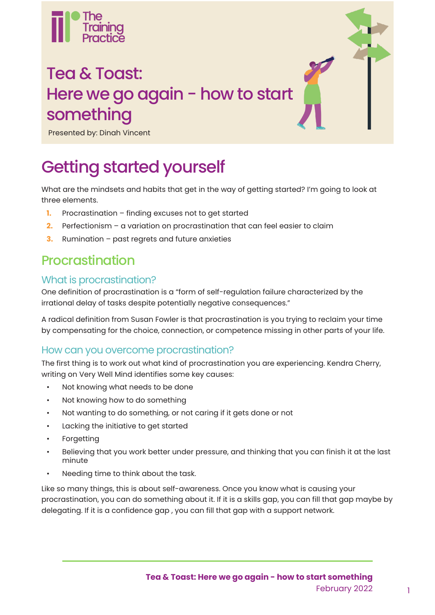

## Tea & Toast: Here we go again - how to start something

Presented by: Dinah Vincent

## Getting started yourself

What are the mindsets and habits that get in the way of getting started? I'm going to look at three elements.

- **1.** Procrastination finding excuses not to get started
- **2.** Perfectionism a variation on procrastination that can feel easier to claim
- **3.** Rumination past regrets and future anxieties

### Procrastination

#### What is procrastination?

One definition of procrastination is a "form of self-regulation failure characterized by the irrational delay of tasks despite potentially negative consequences."

A radical definition from Susan Fowler is that procrastination is you trying to reclaim your time by compensating for the choice, connection, or competence missing in other parts of your life.

#### How can you overcome procrastination?

The first thing is to work out what kind of procrastination you are experiencing. Kendra Cherry, writing on Very Well Mind identifies some key causes:

- Not knowing what needs to be done
- Not knowing how to do something
- Not wanting to do something, or not caring if it gets done or not
- Lacking the initiative to get started
- **Forgetting**
- Believing that you work better under pressure, and thinking that you can finish it at the last minute
- Needing time to think about the task.

Like so many things, this is about self-awareness. Once you know what is causing your procrastination, you can do something about it. If it is a skills gap, you can fill that gap maybe by delegating. If it is a confidence gap , you can fill that gap with a support network.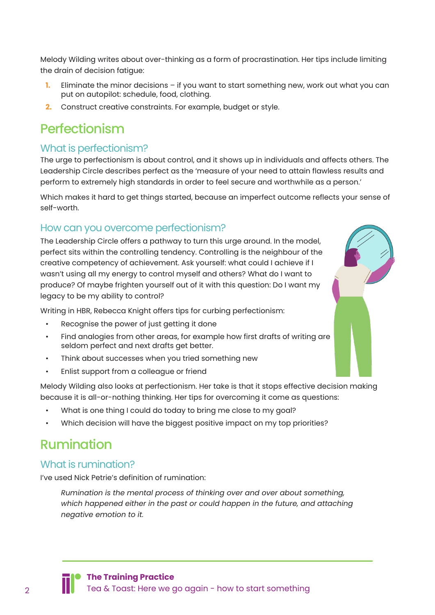Melody Wilding writes about over-thinking as a form of procrastination. Her tips include limiting the drain of decision fatigue:

- **1.** Eliminate the minor decisions if you want to start something new, work out what you can put on autopilot: schedule, food, clothing.
- **2.** Construct creative constraints. For example, budget or style.

## Perfectionism

#### What is perfectionism?

The urge to perfectionism is about control, and it shows up in individuals and affects others. The Leadership Circle describes perfect as the 'measure of your need to attain flawless results and perform to extremely high standards in order to feel secure and worthwhile as a person.'

Which makes it hard to get things started, because an imperfect outcome reflects your sense of self-worth.

#### How can you overcome perfectionism?

The Leadership Circle offers a pathway to turn this urge around. In the model, perfect sits within the controlling tendency. Controlling is the neighbour of the creative competency of achievement. Ask yourself: what could I achieve if I wasn't using all my energy to control myself and others? What do I want to produce? Of maybe frighten yourself out of it with this question: Do I want my legacy to be my ability to control?

Writing in HBR, Rebecca Knight offers tips for curbing perfectionism:

- Recognise the power of just getting it done
- Find analogies from other areas, for example how first drafts of writing are seldom perfect and next drafts get better.
- Think about successes when you tried something new
- Enlist support from a colleague or friend

Melody Wilding also looks at perfectionism. Her take is that it stops effective decision making because it is all-or-nothing thinking. Her tips for overcoming it come as questions:

- What is one thing I could do today to bring me close to my goal?
- Which decision will have the biggest positive impact on my top priorities?

### Rumination

#### What is rumination?

I've used Nick Petrie's definition of rumination:

*Rumination is the mental process of thinking over and over about something, which happened either in the past or could happen in the future, and attaching negative emotion to it.*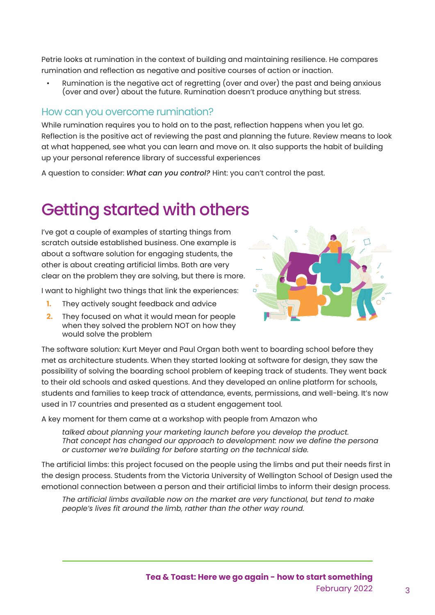Petrie looks at rumination in the context of building and maintaining resilience. He compares rumination and reflection as negative and positive courses of action or inaction.

• Rumination is the negative act of regretting (over and over) the past and being anxious (over and over) about the future. Rumination doesn't produce anything but stress.

#### How can you overcome rumination?

While rumination requires you to hold on to the past, reflection happens when you let go. Reflection is the positive act of reviewing the past and planning the future. Review means to look at what happened, see what you can learn and move on. It also supports the habit of building up your personal reference library of successful experiences

A question to consider: *What can you control?* Hint: you can't control the past.

## Getting started with others

I've got a couple of examples of starting things from scratch outside established business. One example is about a software solution for engaging students, the other is about creating artificial limbs. Both are very clear on the problem they are solving, but there is more.

I want to highlight two things that link the experiences:

- **1.** They actively sought feedback and advice
- **2.** They focused on what it would mean for people when they solved the problem NOT on how they would solve the problem



The software solution: Kurt Meyer and Paul Organ both went to boarding school before they met as architecture students. When they started looking at software for design, they saw the possibility of solving the boarding school problem of keeping track of students. They went back to their old schools and asked questions. And they developed an online platform for schools, students and families to keep track of attendance, events, permissions, and well-being. It's now used in 17 countries and presented as a student engagement tool.

A key moment for them came at a workshop with people from Amazon who

*talked about planning your marketing launch before you develop the product. That concept has changed our approach to development: now we define the persona or customer we're building for before starting on the technical side.*

The artificial limbs: this project focused on the people using the limbs and put their needs first in the design process. Students from the Victoria University of Wellington School of Design used the emotional connection between a person and their artificial limbs to inform their design process.

*The artificial limbs available now on the market are very functional, but tend to make people's lives fit around the limb, rather than the other way round.*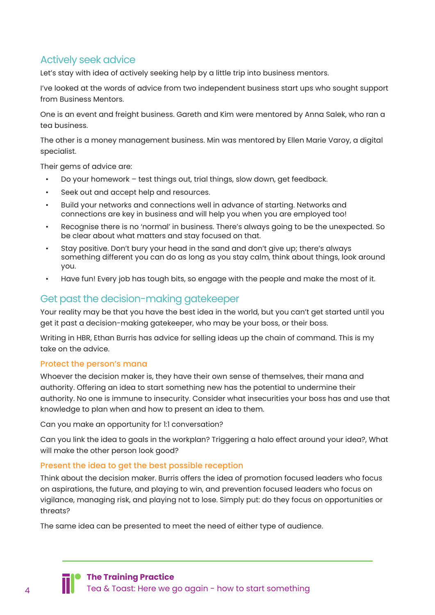#### Actively seek advice

Let's stay with idea of actively seeking help by a little trip into business mentors.

I've looked at the words of advice from two independent business start ups who sought support from Business Mentors.

One is an event and freight business. Gareth and Kim were mentored by Anna Salek, who ran a tea business.

The other is a money management business. Min was mentored by Ellen Marie Varoy, a digital specialist.

Their gems of advice are:

- Do your homework test things out, trial things, slow down, get feedback.
- Seek out and accept help and resources.
- Build your networks and connections well in advance of starting. Networks and connections are key in business and will help you when you are employed too!
- Recognise there is no 'normal' in business. There's always going to be the unexpected. So be clear about what matters and stay focused on that.
- Stay positive. Don't bury your head in the sand and don't give up; there's always something different you can do as long as you stay calm, think about things, look around you.
- Have fun! Every job has tough bits, so engage with the people and make the most of it.

#### Get past the decision-making gatekeeper

Your reality may be that you have the best idea in the world, but you can't get started until you get it past a decision-making gatekeeper, who may be your boss, or their boss.

Writing in HBR, Ethan Burris has advice for selling ideas up the chain of command. This is my take on the advice.

#### Protect the person's mana

Whoever the decision maker is, they have their own sense of themselves, their mana and authority. Offering an idea to start something new has the potential to undermine their authority. No one is immune to insecurity. Consider what insecurities your boss has and use that knowledge to plan when and how to present an idea to them.

Can you make an opportunity for 1:1 conversation?

Can you link the idea to goals in the workplan? Triggering a halo effect around your idea?, What will make the other person look good?

#### Present the idea to get the best possible reception

Think about the decision maker. Burris offers the idea of promotion focused leaders who focus on aspirations, the future, and playing to win, and prevention focused leaders who focus on vigilance, managing risk, and playing not to lose. Simply put: do they focus on opportunities or threats?

The same idea can be presented to meet the need of either type of audience.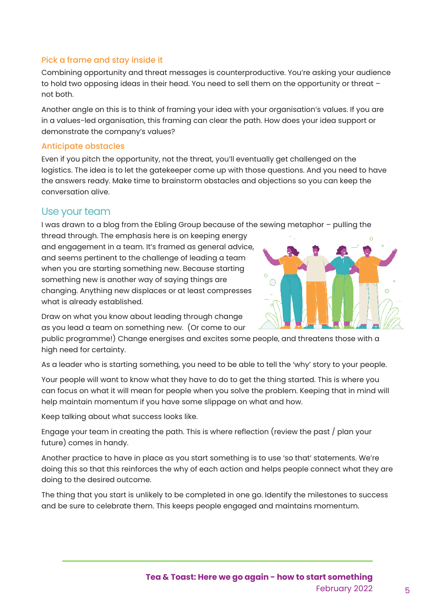#### Pick a frame and stay inside it

Combining opportunity and threat messages is counterproductive. You're asking your audience to hold two opposing ideas in their head. You need to sell them on the opportunity or threat – not both.

Another angle on this is to think of framing your idea with your organisation's values. If you are in a values-led organisation, this framing can clear the path. How does your idea support or demonstrate the company's values?

#### Anticipate obstacles

Even if you pitch the opportunity, not the threat, you'll eventually get challenged on the logistics. The idea is to let the gatekeeper come up with those questions. And you need to have the answers ready. Make time to brainstorm obstacles and objections so you can keep the conversation alive.

#### Use your team

I was drawn to a blog from the Ebling Group because of the sewing metaphor – pulling the

thread through. The emphasis here is on keeping energy and engagement in a team. It's framed as general advice, and seems pertinent to the challenge of leading a team when you are starting something new. Because starting something new is another way of saying things are changing. Anything new displaces or at least compresses what is already established.



Draw on what you know about leading through change as you lead a team on something new. (Or come to our

public programme!) Change energises and excites some people, and threatens those with a high need for certainty.

As a leader who is starting something, you need to be able to tell the 'why' story to your people.

Your people will want to know what they have to do to get the thing started. This is where you can focus on what it will mean for people when you solve the problem. Keeping that in mind will help maintain momentum if you have some slippage on what and how.

Keep talking about what success looks like.

Engage your team in creating the path. This is where reflection (review the past / plan your future) comes in handy.

Another practice to have in place as you start something is to use 'so that' statements. We're doing this so that this reinforces the why of each action and helps people connect what they are doing to the desired outcome.

The thing that you start is unlikely to be completed in one go. Identify the milestones to success and be sure to celebrate them. This keeps people engaged and maintains momentum.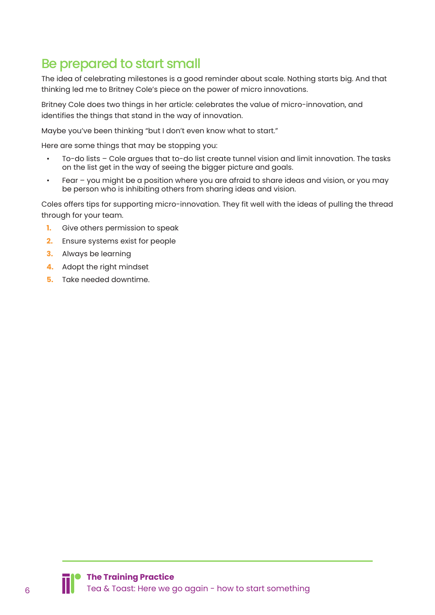## Be prepared to start small

The idea of celebrating milestones is a good reminder about scale. Nothing starts big. And that thinking led me to Britney Cole's piece on the power of micro innovations.

Britney Cole does two things in her article: celebrates the value of micro-innovation, and identifies the things that stand in the way of innovation.

Maybe you've been thinking "but I don't even know what to start."

Here are some things that may be stopping you:

- To-do lists Cole argues that to-do list create tunnel vision and limit innovation. The tasks on the list get in the way of seeing the bigger picture and goals.
- Fear you might be a position where you are afraid to share ideas and vision, or you may be person who is inhibiting others from sharing ideas and vision.

Coles offers tips for supporting micro-innovation. They fit well with the ideas of pulling the thread through for your team.

- **1.** Give others permission to speak
- **2.** Ensure systems exist for people
- **3.** Always be learning
- **4.** Adopt the right mindset
- **5.** Take needed downtime.